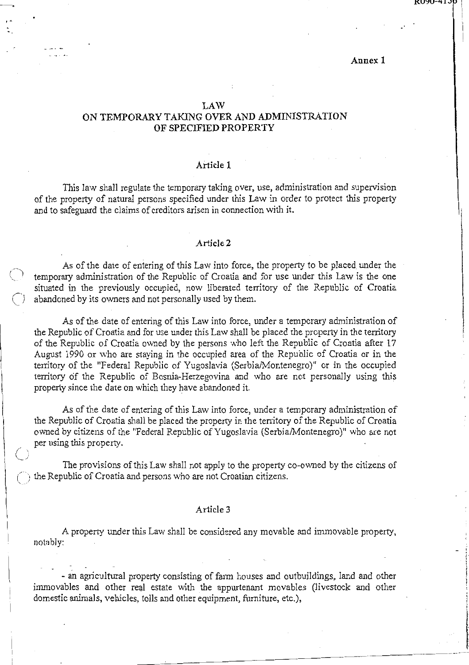# Annex 1

### **LAW**

I •

 $^{\circ}$  $\langle \quad \rangle$ 

 $\mathbf{I}$ 

 $\vert$ 

# ON TEMPORARY TAKING OVER AND ADMINISTRATION OF SPECIFIED PROPERTY

# Article 1

This law shall regulate the temporary taking over, use, administration and supervision of the property of natural persons specified under this Law in order to protect this property and to safeguard the claims of creditors arisen in connection with it.

#### Article 2

As of the date of entering of this Law into force, the property to be placed under the temporary administration of the Republic of Croatia and for use under this Law is the one situated in the previously occupied, now liberated territory of the Republic of Croatia abandoned by its owners and not personally used by them.

As of the date of entering of this Law into force, under a temporary administration of the Republic of Croatia and for use under this Law shall be placed the property in the territory of the Republic of Croatia owned by the persons who left the Republic of Croatia after 17 August 1990 or who are staying in the occupied area of the Republic of Croatia or in the territory of the "Federal Republic of Yugoslavia (Serbia/Montenegro)" or in the occupied territory of the Republic of Bosnia~Herzegovina and who are not personally using this property since the date on which they have abandoned it.

As of the date of entering of this Law into force, under a temporary administration of the Republic of Croatia shall be placed the property in the territory of the Republic of Croatia owned by citizens of the "Federal Republic of Yugoslavia (Serbia/Montenegro)" who are not per using this property.

*()*  The provisions of this Law shall not apply to the property co-owned by the citizens of *()* the Republic of Croatia and persons who are not Croatian citizens.

#### Article 3

A property under this Law shall be considered any movable and immovable property, nofab]y:

- an agricultural property consisting of farm houses and outbuildings, land and other immovables and other real estate with the appurtenant movables (livestock and other domestic animals, vehicles, tolls and other equipment, furniture, etc.),

'- ~----"-----------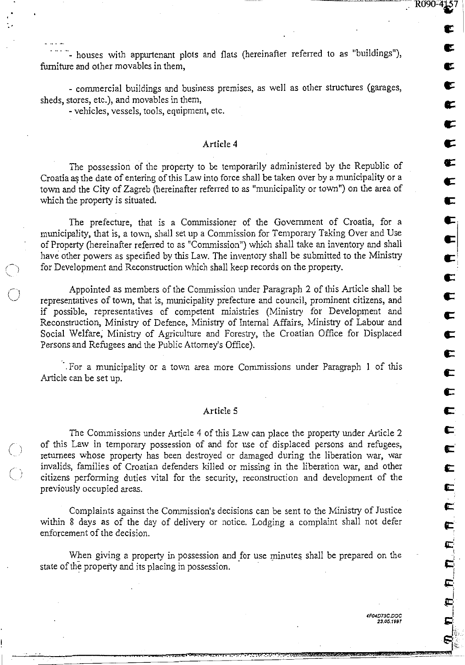. . **e:** I

**c** 

It

**e:** 

**s:** 

**c:** 

**c:** 

 $\blacksquare$ 

**e:** 

**c:** 

**c:.** 

**e:** 

 $\bullet$ 

**c:** 

**c:** 

**c:** 

**c:** 

**c** 

**c:** 

**c** 

**c** 

**c:** 

**c:·** 

**c** 

**c** 

**Ct:** 

**s::** 

 $\mathbf{r}$ .

i  $\mathbf{r}$ 

 $\mathbf i$ 

 $\bullet$ !.<br>!.,

- houses with appurtenant plots and flats (hereinafter referred to as "buildings"), furniture and other movables in them,

- commercial buildings and business premises, as well as other structures (garages, sheds, stores, etc.), and movables in them,

- vehicles, vessels, tools, equipment, etc.

*()*  .......

 $\bigcirc$ 

 $\bigcirc$ 

 $\bigcap$ 

# Article 4

The possession of the property to be temporarily administered by the Republic of Croatia as the date of entering of this Law into force shall be taken over by a municipality or a tovm and the City of Zagreb (hereinafter referred to as "municipality or town") on the area of which the property is situated.

The prefecture, that is a Commissioner of the Government of Croatia, for a municipality, that is, a town, shall set up a Commission for Temporary Taking Over and Use of Property (hereinafter referred to as "Commission") which shall take an inventory and shall have other powers as specified by this Law. The inventory shall be submitted to the Ministry for Development and Reconstruction which shall keep records on the property.

Appointed as members of the Commission under Paragraph 2 of this Article shall be representatives of town, that is, municipality prefecture and council, prominent citizens, and if possible, representatives of competent ministries (Ministry for Development and Reconstruction, Ministry of Defence, Ministry of Internal Affairs, Ministry of Labour and Social Welfare, Ministry of Agriculture and Forestry, the Croatian Office for Displaced Persons and Refugees and the Public Attorney's Office).

· . . For a municipality or a town area more Commissions under Paragraph 1 of this Article can be set up.

### Article 5

The Commissions under Article 4 of this Law can place the property under Article 2 of this Law in temporary possession of and for use of displaced persons and refugees, returnees whose property has been destroyed or damaged during the liberation war, war invalids, families of Croatian defenders killed or missing in the liberation war, and other citizens performing duties vital for the security, reconstruction and development of the previously occupied areas.

Complaints against the Commission's decisions can be sent to the Ministry of Justice within 8 days as of the day of delivery or notice. Lodging a complaint shall not defer enforcement of the decision.

When giving a property in possession and for use minutes shall be prepared on the state of the property and its placing in possession.

· .. :::azu•u•~ '•. **a::z ... ••-l <=.sc .• 3 .. . s ••. 1.•2-** •. • : • . ' . > •. .; !tA ••• •.2 1 ~:-.=!~l!2U:.4!P..WWWWb&P.&iWWWL&PUttAA.kWWWALLL221§'.!§£.:Z~ **.. -.-·**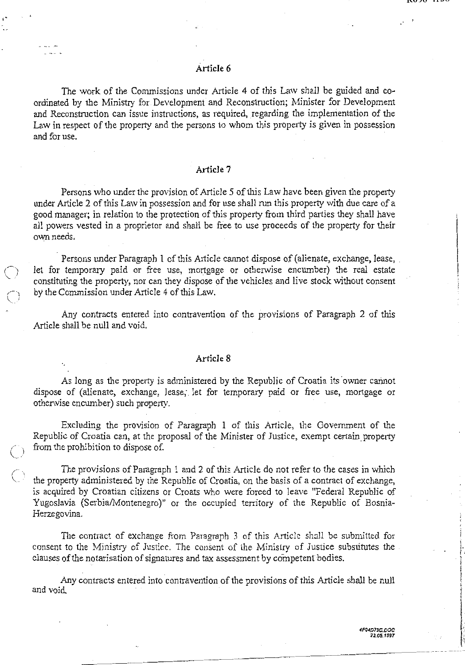# Article 6

The work of the Commissions under Article 4 of this Law shall be guided and coordinated by the Ministry for Development and Reconstruction; Minister for Development and Reconstruction can issue instructions, as required, regarding the implementation of the Law in respect of the property and the persons to whom this property is given in possession and for use.

# . Article 7

Persons who under the provision of Article 5 of this Law have been given the property under Article 2 of this Law in possession and for use shall run this property with due care of a good manager; in relation to the protection of this property from third parties they shall have all powers vested in a proprietor and shall be free to use proceeds of the property for their own needs.

Persons under Paragraph 1 of this Article cannot dispose of (alienate, exchange, lease, let for temporary paid or free use, mortgage or otherwise encumber) the real estate constituting the property, nor can they dispose of the vehicles and live stock without consent by the Commission under Article 4 of this Law.

Any contracts entered into contravention of the provisions of Paragraph 2 of this Article shall be null and void.

# Article 8

As long as the property is administered by the Republic of Croatia its owner cannot dispose of (alienate, exchange, lease;. let for temporary paid or free use, mortgage or othenvise encumber) such property.

Excluding the provision of Paragraph 1 of this Article, the Government of the Republic of Croatia can, at the proposal of the Minister of Justice, exempt certain, property from the prohibition to dispose of.

 $\bigcirc$ 

 $(\ )$ 

The provisions of Paragraph 1 and 2 of this Article do not refer to the cases in which the property administered by the Republic of Croatia, on the basis of a contract of exchange, is acquired by Croatian citizens or Croats who were forced to leave "Federal Republic of Yugoslavia (Serbia/Montenegro)" or the occupied territory of the Republic of Bosnia-Herzegovina.

The contract of exchange from Paragraph 3 of this Article shall be submitted for consent to the Ministry of Justice. The consent of the Ministry of Justice substitutes the clauses of the notarisation of signatures and tax assessment by competent bodies.

Any contracts entered into contravention of the provisions of this Article shall be null and void.

i  $\cdot$  . i I lanara y 1. 1 .

-- --- -· --·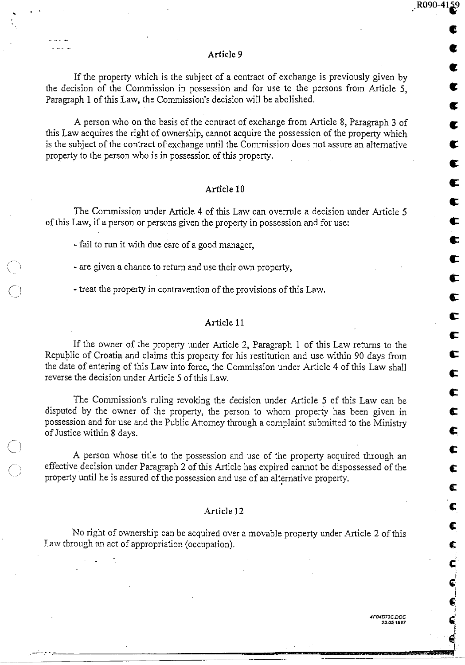#### Article 9

If the property which is the subject of a contract of exchange is previously given by the decision of the Commission in possession and for use to the persons from Article 5, Paragraph 1 of this Law, the Commission's decision will be abolished.

A person who on the basis of the contract of exchange from Article 8, Paragraph 3 of this Law acquires the right of ownership, cannot acquire the possession of the property which is the subject of the contract of exchange until the Commission does not assure an alternative property to the person who is in possession of this property.

### Article 10

The Commission under Article 4 of this Law can overrule a decision under Article 5 of this Law, if a person or persons given the property in possession and for use:

- fail to run it with due c'are of a good manager,

..

' '

 $\mathcal{L} \subset \mathcal{L}$  $\left( \begin{array}{cc} & & & \\ & & & \end{array} \right)$ 

 $\sqrt{2}$  $\bigcup$  /

 $\bigcap$ '· . J

- are given a chance to return and use their own property,

- treat the property in contravention of the provisions of this Law.

## Article 11

If the owner of the property under Article 2, Paragraph 1 of this Law returns to the Republic of Croatia and claims this property for his restitution and use within 90 days from the date of entering of this Law into force, the Commission under Article 4 of this Law shall reverse the decision under Article 5 of this Law.

The Commission's ruling revoking the decision under Article *5* of this Law can be disputed by the owner of the property, the person to whom property has been given in possession and for use and the Public Attorney through a complaint submitted to the Ministry of Justice within 8 days.

A person whose title to the possession and use of the property acquired through an effective decision under Paragraph 2 of this Article has expired cannot be dispossessed of the property until he is assured of the possession and use of an alternative property.

# Article 12

No right of ownership can be acquired over a movable property under Article 2 of this Law through an act of appropriation (occupation).

.--·-.··.~·---------=====~~~~~~~~~~-~~-! \_\_

\_.R090-41~

**c** 

•<br>•

**c** 

**c** 

**c** 

**c** 

 $\mathbf{\mathfrak{c}}$ 

 $\bullet$ 

**c:** 

**c** 

c

**c:** 

**t:** 

c

c:

c

~

c

c:

c:

c

~

c

£

c:

c:

 $\mathbf{C}$ 

ct

 $\mathbf{c}^{\mathbb{C}}$ i G:·  $\mathbf{r}$ 

*i* 

 $\bullet$